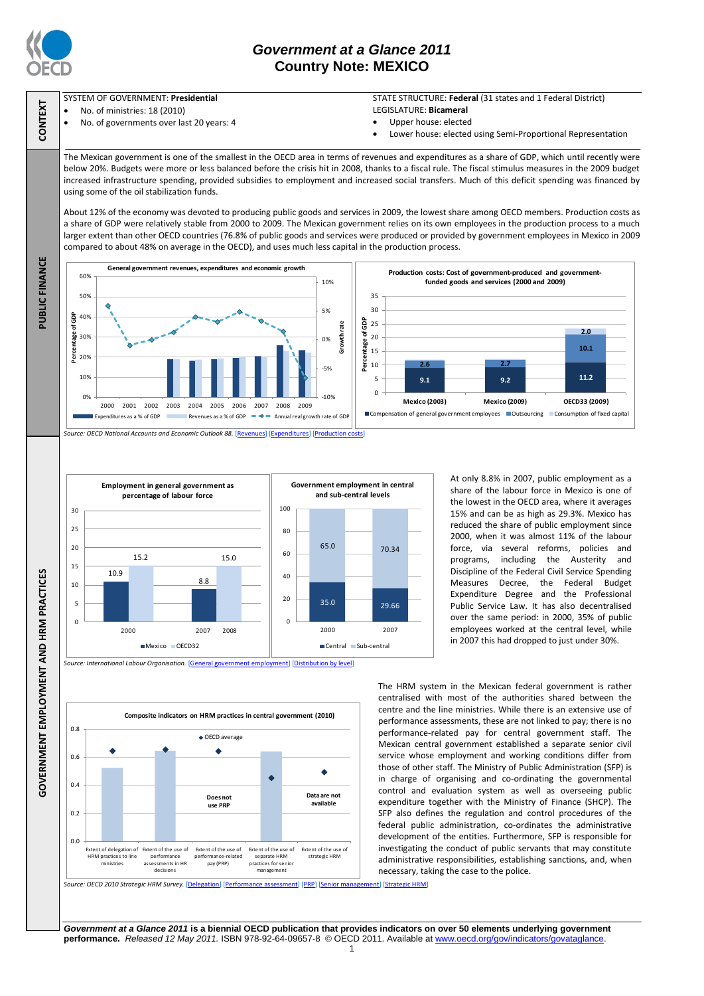

PUBLIC FINANCE

**GOVERNMENT EMPLOYMENT AND HRM PRACTICES**

GOVERNMENT EMPLOYMENT AND HRM PRACTICES

## *Government at a Glance 2011* **Country Note: MEXICO**

# SYSTEM OF GOVERNMENT: **Presidential CONTEXT**

- No. of ministries: 18 (2010)
- No. of governments over last 20 years: 4

### STATE STRUCTURE: **Federal** (31 states and 1 Federal District) LEGISLATURE: **Bicameral**

- Upper house: elected
- Lower house: elected using Semi-Proportional Representation

The Mexican government is one of the smallest in the OECD area in terms of revenues and expenditures as a share of GDP, which until recently were below 20%. Budgets were more or less balanced before the crisis hit in 2008, thanks to a fiscal rule. The fiscal stimulus measures in the 2009 budget increased infrastructure spending, provided subsidies to employment and increased social transfers. Much of this deficit spending was financed by using some of the oil stabilization funds.

About 12% of the economy was devoted to producing public goods and services in 2009, the lowest share among OECD members. Production costs as a share of GDP were relatively stable from 2000 to 2009. The Mexican government relies on its own employees in the production process to a much larger extent than other OECD countries (76.8% of public goods and services were produced or provided by government employees in Mexico in 2009 compared to about 48% on average in the OECD), and uses much less capital in the production process.





*Source: International Labour Organisation.* [\[General government employment\]](http://dx.doi.org/10.1787/888932390538) [\[Distribution by level\]](http://dx.doi.org/10.1787/888932390576)



At only 8.8% in 2007, public employment as a share of the labour force in Mexico is one of the lowest in the OECD area, where it averages 15% and can be as high as 29.3%. Mexico has reduced the share of public employment since 2000, when it was almost 11% of the labour force, via several reforms, policies and programs, including the Austerity and Discipline of the Federal Civil Service Spending Measures Decree, the Federal Budget Expenditure Degree and the Professional Public Service Law. It has also decentralised over the same period: in 2000, 35% of public employees worked at the central level, while in 2007 this had dropped to just under 30%.

The HRM system in the Mexican federal government is rather centralised with most of the authorities shared between the centre and the line ministries. While there is an extensive use of performance assessments, these are not linked to pay; there is no performance-related pay for central government staff. The Mexican central government established a separate senior civil service whose employment and working conditions differ from those of other staff. The Ministry of Public Administration (SFP) is in charge of organising and co-ordinating the governmental control and evaluation system as well as overseeing public expenditure together with the Ministry of Finance (SHCP). The SFP also defines the regulation and control procedures of the federal public administration, co-ordinates the administrative development of the entities. Furthermore, SFP is responsible for investigating the conduct of public servants that may constitute administrative responsibilities, establishing sanctions, and, when necessary, taking the case to the police.

*Source: OECD 2010 Strategic HRM Survey.* [\[Delegation\]](http://dx.doi.org/10.1787/888932390823) [\[Performance assessment\]](http://dx.doi.org/10.1787/888932390842) [\[PRP\]](http://dx.doi.org/10.1787/888932390861) [\[Senior management\]](http://dx.doi.org/10.1787/888932390424) [\[Strategic HRM\]](http://dx.doi.org/10.1787/888932390405)

*Government at a Glance 2011* **is a biennial OECD publication that provides indicators on over 50 elements underlying government performance.** *Released 12 May 2011.* ISBN 978-92-64-09657-8 © OECD 2011. Available at www.oecd.org/gov/indicators/govataglance.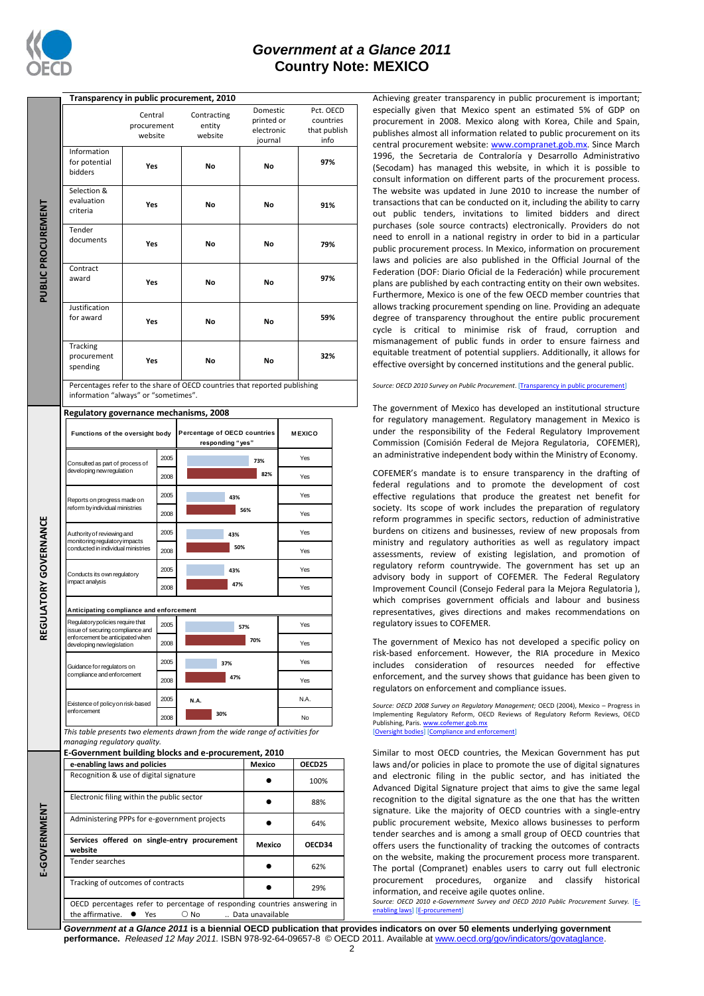

### *Government at a Glance 2011* **Country Note: MEXICO**

|                           | Transparency in public procurement, 2010                                                          |             |      |                                                                           |            |               |                      |  |  |  |  |  |
|---------------------------|---------------------------------------------------------------------------------------------------|-------------|------|---------------------------------------------------------------------------|------------|---------------|----------------------|--|--|--|--|--|
|                           |                                                                                                   | Central     |      | Contracting                                                               | Domestic   |               | Pct. OECD            |  |  |  |  |  |
|                           |                                                                                                   | procurement |      | entity                                                                    | printed or |               | countries            |  |  |  |  |  |
| <b>PUBLIC PROCUREMENT</b> |                                                                                                   | website     |      | electronic<br>website                                                     |            |               | that publish<br>info |  |  |  |  |  |
|                           | Information                                                                                       |             |      |                                                                           | journal    |               |                      |  |  |  |  |  |
|                           | for potential                                                                                     |             |      |                                                                           |            |               | 97%                  |  |  |  |  |  |
|                           | bidders                                                                                           | Yes         |      | No                                                                        | No         |               |                      |  |  |  |  |  |
|                           |                                                                                                   |             |      |                                                                           |            |               |                      |  |  |  |  |  |
|                           | Selection &                                                                                       |             |      |                                                                           |            |               |                      |  |  |  |  |  |
|                           | evaluation                                                                                        | Yes         |      | No                                                                        | No         |               | 91%                  |  |  |  |  |  |
|                           | criteria                                                                                          |             |      |                                                                           |            |               |                      |  |  |  |  |  |
|                           | Tender                                                                                            |             |      |                                                                           |            |               |                      |  |  |  |  |  |
|                           | documents                                                                                         |             |      |                                                                           | No         |               | 79%                  |  |  |  |  |  |
|                           |                                                                                                   | Yes         |      | No                                                                        |            |               |                      |  |  |  |  |  |
|                           |                                                                                                   |             |      |                                                                           |            |               |                      |  |  |  |  |  |
|                           | Contract                                                                                          | Yes         |      |                                                                           | No         |               | 97%                  |  |  |  |  |  |
|                           | award                                                                                             |             |      | No                                                                        |            |               |                      |  |  |  |  |  |
|                           |                                                                                                   |             |      |                                                                           |            |               |                      |  |  |  |  |  |
|                           | Justification                                                                                     |             |      |                                                                           |            |               |                      |  |  |  |  |  |
|                           | for award                                                                                         | Yes         |      | No                                                                        | No         |               | 59%                  |  |  |  |  |  |
|                           |                                                                                                   |             |      |                                                                           |            |               |                      |  |  |  |  |  |
|                           | Tracking                                                                                          |             |      |                                                                           |            |               |                      |  |  |  |  |  |
|                           | procurement                                                                                       |             |      |                                                                           |            |               | 32%                  |  |  |  |  |  |
|                           | spending                                                                                          | Yes         |      | No                                                                        | No         |               |                      |  |  |  |  |  |
|                           |                                                                                                   |             |      |                                                                           |            |               |                      |  |  |  |  |  |
|                           | information "always" or "sometimes".                                                              |             |      | Percentages refer to the share of OECD countries that reported publishing |            |               |                      |  |  |  |  |  |
|                           |                                                                                                   |             |      |                                                                           |            |               |                      |  |  |  |  |  |
|                           | Regulatory governance mechanisms, 2008                                                            |             |      |                                                                           |            |               |                      |  |  |  |  |  |
|                           |                                                                                                   |             |      |                                                                           |            |               |                      |  |  |  |  |  |
|                           | Functions of the oversight body                                                                   |             |      | Percentage of OECD countries<br>responding "yes"                          |            | <b>MEXICO</b> |                      |  |  |  |  |  |
|                           | Consulted as part of process of<br>developing new regulation                                      |             |      |                                                                           |            |               |                      |  |  |  |  |  |
|                           |                                                                                                   |             | 2005 |                                                                           | 73%        |               | Yes                  |  |  |  |  |  |
|                           |                                                                                                   |             | 2008 |                                                                           | 82%        |               | Yes                  |  |  |  |  |  |
| LATORY GOVERNANCE         |                                                                                                   |             |      |                                                                           |            |               |                      |  |  |  |  |  |
|                           | Reports on progress made on<br>reform by individual ministries                                    |             | 2005 | 43%                                                                       |            |               | Yes                  |  |  |  |  |  |
|                           |                                                                                                   |             | 2008 | 56%                                                                       |            | Yes           |                      |  |  |  |  |  |
|                           | Authority of reviewing and<br>monitoring regulatory impacts<br>conducted in individual ministries |             | 2005 |                                                                           |            |               | Yes                  |  |  |  |  |  |
|                           |                                                                                                   |             |      | 43%                                                                       |            |               |                      |  |  |  |  |  |
|                           |                                                                                                   |             | 2008 | 50%                                                                       |            | Yes           |                      |  |  |  |  |  |
|                           | Conducts its own regulatory<br>impact analysis                                                    |             | 2005 | 43%                                                                       |            |               | Yes                  |  |  |  |  |  |
|                           |                                                                                                   |             |      |                                                                           |            |               |                      |  |  |  |  |  |
|                           |                                                                                                   |             | 2008 | 47%                                                                       |            |               | Yes                  |  |  |  |  |  |
|                           |                                                                                                   |             |      |                                                                           |            |               |                      |  |  |  |  |  |
|                           | Anticipating compliance and enforcement                                                           |             |      |                                                                           |            |               |                      |  |  |  |  |  |
| ပ္မ                       | Regulatory policies require that<br>2005<br>issue of securing compliance and                      |             |      | 57%                                                                       |            |               | Yes                  |  |  |  |  |  |
|                           | enforcement be anticipated when<br>developing new legislation                                     |             | 2008 | 70%                                                                       |            |               | Yes                  |  |  |  |  |  |
|                           |                                                                                                   |             |      |                                                                           |            |               |                      |  |  |  |  |  |
|                           | Guidance for regulators on<br>compliance and enforcement                                          |             | 2005 | 37%                                                                       |            |               | Yes                  |  |  |  |  |  |
|                           |                                                                                                   |             | 2008 | 47%                                                                       | Yes        |               |                      |  |  |  |  |  |
|                           |                                                                                                   |             | 2005 |                                                                           |            |               |                      |  |  |  |  |  |
|                           | Existence of policy on risk-based<br>enforcement                                                  |             |      | N.A.                                                                      |            |               | N.A.                 |  |  |  |  |  |
|                           |                                                                                                   |             | 2008 | 30%                                                                       |            |               | No                   |  |  |  |  |  |
|                           | This table presents two elements drawn from the wide range of activities for                      |             |      |                                                                           |            |               |                      |  |  |  |  |  |
|                           | managing regulatory quality.                                                                      |             |      |                                                                           |            |               |                      |  |  |  |  |  |
|                           | E-Government building blocks and e-procurement, 2010                                              |             |      |                                                                           |            |               |                      |  |  |  |  |  |
|                           | e-enabling laws and policies                                                                      |             |      |                                                                           | Mexico     |               | OECD25               |  |  |  |  |  |
|                           | Recognition & use of digital signature                                                            |             |      |                                                                           |            |               | 100%                 |  |  |  |  |  |
|                           | Electronic filing within the public sector                                                        |             |      | 88%<br>64%                                                                |            |               |                      |  |  |  |  |  |
|                           |                                                                                                   |             |      |                                                                           |            |               |                      |  |  |  |  |  |
| <b>E-GOVERNMENT</b>       | Administering PPPs for e-government projects                                                      |             |      |                                                                           |            |               |                      |  |  |  |  |  |
|                           |                                                                                                   |             |      |                                                                           |            |               |                      |  |  |  |  |  |
|                           | Services offered on single-entry procurement                                                      | Mexico      |      | OECD34                                                                    |            |               |                      |  |  |  |  |  |
|                           | website<br>Tender searches                                                                        |             |      |                                                                           |            |               |                      |  |  |  |  |  |
|                           |                                                                                                   |             |      |                                                                           |            |               |                      |  |  |  |  |  |
|                           | Tracking of outcomes of contracts                                                                 |             |      |                                                                           | 29%        |               |                      |  |  |  |  |  |

OECD percentages refer to percentage of responding countries answering in

the affirmative.  $\bullet$  Yes  $\circ$  No... Data unavailable

Achieving greater transparency in public procurement is important; especially given that Mexico spent an estimated 5% of GDP on procurement in 2008. Mexico along with Korea, Chile and Spain, publishes almost all information related to public procurement on its central procurement website[: www.compranet.gob.mx.](http://www.compranet.gob.mx/) Since March 1996, the Secretaria de Contraloría y Desarrollo Administrativo (Secodam) has managed this website, in which it is possible to consult information on different parts of the procurement process. The website was updated in June 2010 to increase the number of transactions that can be conducted on it, including the ability to carry out public tenders, invitations to limited bidders and direct purchases (sole source contracts) electronically. Providers do not need to enroll in a national registry in order to bid in a particular public procurement process. In Mexico, information on procurement laws and policies are also published in the Official Journal of the Federation (DOF: Diario Oficial de la Federación) while procurement plans are published by each contracting entity on their own websites. Furthermore, Mexico is one of the few OECD member countries that allows tracking procurement spending on line. Providing an adequate degree of transparency throughout the entire public procurement cycle is critical to minimise risk of fraud, corruption and mismanagement of public funds in order to ensure fairness and equitable treatment of potential suppliers. Additionally, it allows for effective oversight by concerned institutions and the general public.

#### *Source: OECD 2010 Survey on Public Procurement*. [\[Transparency in public procurement\]](http://dx.doi.org/10.1787/888932392419)

The government of Mexico has developed an institutional structure for regulatory management. Regulatory management in Mexico is under the responsibility of the Federal Regulatory Improvement Commission (Comisión Federal de Mejora Regulatoria, COFEMER), an administrative independent body within the Ministry of Economy.

COFEMER's mandate is to ensure transparency in the drafting of federal regulations and to promote the development of cost effective regulations that produce the greatest net benefit for society. Its scope of work includes the preparation of regulatory reform programmes in specific sectors, reduction of administrative burdens on citizens and businesses, review of new proposals from ministry and regulatory authorities as well as regulatory impact assessments, review of existing legislation, and promotion of regulatory reform countrywide. The government has set up an advisory body in support of COFEMER. The Federal Regulatory Improvement Council (Consejo Federal para la Mejora Regulatoria ), which comprises government officials and labour and business representatives, gives directions and makes recommendations on regulatory issues to COFEMER.

The government of Mexico has not developed a specific policy on risk-based enforcement. However, the RIA procedure in Mexico includes consideration of resources needed for effective enforcement, and the survey shows that guidance has been given to regulators on enforcement and compliance issues.

*Source: OECD 2008 Survey on Regulatory Management;* OECD (2004), Mexico – Progress in Implementing Regulatory Reform, OECD Reviews of Regulatory Reform Reviews, OECD Publishing, Paris. www.cofemer.gob [\[Oversight bodies\]](http://dx.doi.org/10.1787/888932391127) [\[Compliance and enforcement\]](http://dx.doi.org/10.1787/888932391203)

Similar to most OECD countries, the Mexican Government has put laws and/or policies in place to promote the use of digital signatures and electronic filing in the public sector, and has initiated the Advanced Digital Signature project that aims to give the same legal recognition to the digital signature as the one that has the written signature. Like the majority of OECD countries with a single-entry public procurement website, Mexico allows businesses to perform tender searches and is among a small group of OECD countries that offers users the functionality of tracking the outcomes of contracts on the website, making the procurement process more transparent. The portal (Compranet) enables users to carry out full electronic procurement procedures, organize and classify historical information, and receive agile quotes online.

*Source: OECD 2010 e-Government Survey and OECD 2010 Public Procurement Survey.* [\[E](http://dx.doi.org/10.1787/888932390519)[enabling laws\]](http://dx.doi.org/10.1787/888932390519) [\[E-procurement\]](http://dx.doi.org/10.1787/888932391089)

*Government at a Glance 2011* **is a biennial OECD publication that provides indicators on over 50 elements underlying government performance.** *Released 12 May 2011.* ISBN 978-92-64-09657-8 © OECD 2011. Available at www.oecd.org/gov/indicators/govataglance.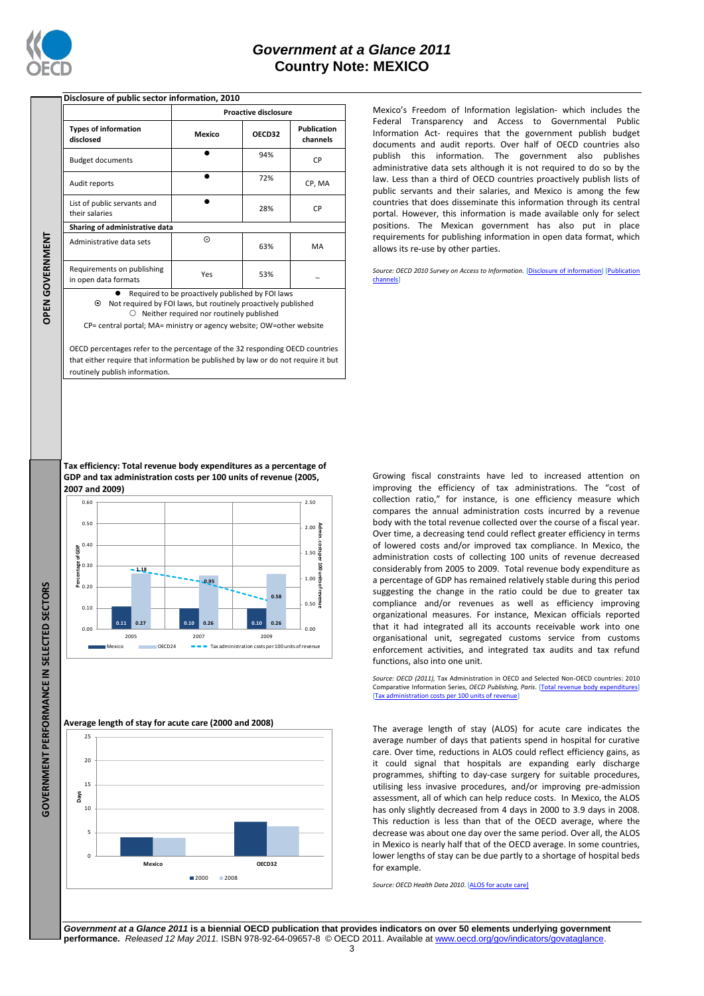

### **Disclosure of public sector information, 2010**

|                                                    | <b>Proactive disclosure</b> |        |                                |  |  |  |
|----------------------------------------------------|-----------------------------|--------|--------------------------------|--|--|--|
| <b>Types of information</b><br>disclosed           | Mexico                      | OECD32 | <b>Publication</b><br>channels |  |  |  |
| <b>Budget documents</b>                            |                             | 94%    | CP                             |  |  |  |
| Audit reports                                      |                             | 72%    | CP, MA                         |  |  |  |
| List of public servants and<br>their salaries      |                             | 28%    | CP                             |  |  |  |
| Sharing of administrative data                     |                             |        |                                |  |  |  |
| Administrative data sets                           | $_{\odot}$                  | 63%    | MA                             |  |  |  |
| Requirements on publishing<br>in open data formats | Yes                         | 53%    |                                |  |  |  |
| Required to be proactively published by FOI laws   |                             |        |                                |  |  |  |

 Not required by FOI laws, but routinely proactively published  $O$  Neither required nor routinely published

CP= central portal; MA= ministry or agency website; OW=other website

OECD percentages refer to the percentage of the 32 responding OECD countries that either require that information be published by law or do not require it but routinely publish information.

Mexico's Freedom of Information legislation- which includes the Federal Transparency and Access to Governmental Public Information Act- requires that the government publish budget documents and audit reports. Over half of OECD countries also publish this information. The government also publishes administrative data sets although it is not required to do so by the law. Less than a third of OECD countries proactively publish lists of public servants and their salaries, and Mexico is among the few countries that does disseminate this information through its central portal. However, this information is made available only for select positions. The Mexican government has also put in place requirements for publishing information in open data format, which allows its re-use by other parties.

*Source: OECD 2010 Survey on Access to Information.* [\[Disclosure of information\]](http://dx.doi.org/10.1787/888932392153) [\[Publication](http://dx.doi.org/10.1787/888932392172)  [channels\]](http://dx.doi.org/10.1787/888932392172)

Growing fiscal constraints have led to increased attention on improving the efficiency of tax administrations. The "cost of collection ratio," for instance, is one efficiency measure which compares the annual administration costs incurred by a revenue body with the total revenue collected over the course of a fiscal year. Over time, a decreasing tend could reflect greater efficiency in terms of lowered costs and/or improved tax compliance. In Mexico, the administration costs of collecting 100 units of revenue decreased considerably from 2005 to 2009. Total revenue body expenditure as a percentage of GDP has remained relatively stable during this period suggesting the change in the ratio could be due to greater tax compliance and/or revenues as well as efficiency improving organizational measures. For instance, Mexican officials reported that it had integrated all its accounts receivable work into one organisational unit, segregated customs service from customs enforcement activities, and integrated tax audits and tax refund functions, also into one unit.

*Source: OECD (2011),* Tax Administration in OECD and Selected Non-OECD countries: 2010 Comparative Information Series, OECD Publishing, Paris. [Total re [\[Tax administration costs per 100 units of revenue\]](http://dx.doi.org/10.1787/888932391754)

The average length of stay (ALOS) for acute care indicates the average number of days that patients spend in hospital for curative care. Over time, reductions in ALOS could reflect efficiency gains, as it could signal that hospitals are expanding early discharge programmes, shifting to day-case surgery for suitable procedures, utilising less invasive procedures, and/or improving pre-admission assessment, all of which can help reduce costs. In Mexico, the ALOS has only slightly decreased from 4 days in 2000 to 3.9 days in 2008. This reduction is less than that of the OECD average, where the decrease was about one day over the same period. Over all, the ALOS in Mexico is nearly half that of the OECD average. In some countries, lower lengths of stay can be due partly to a shortage of hospital beds for example.

*Source: OECD Health Data 2010*. [\[ALOS for acute care\]](http://dx.doi.org/10.1787/888932391697)

*Government at a Glance 2011* **is a biennial OECD publication that provides indicators on over 50 elements underlying government performance.** *Released 12 May 2011.* ISBN 978-92-64-09657-8 © OECD 2011. Available at www.oecd.org/gov/indicators/govataglance.

**Tax efficiency: Total revenue body expenditures as a percentage of GDP and tax administration costs per 100 units of revenue (2005, 2007 and 2009)**